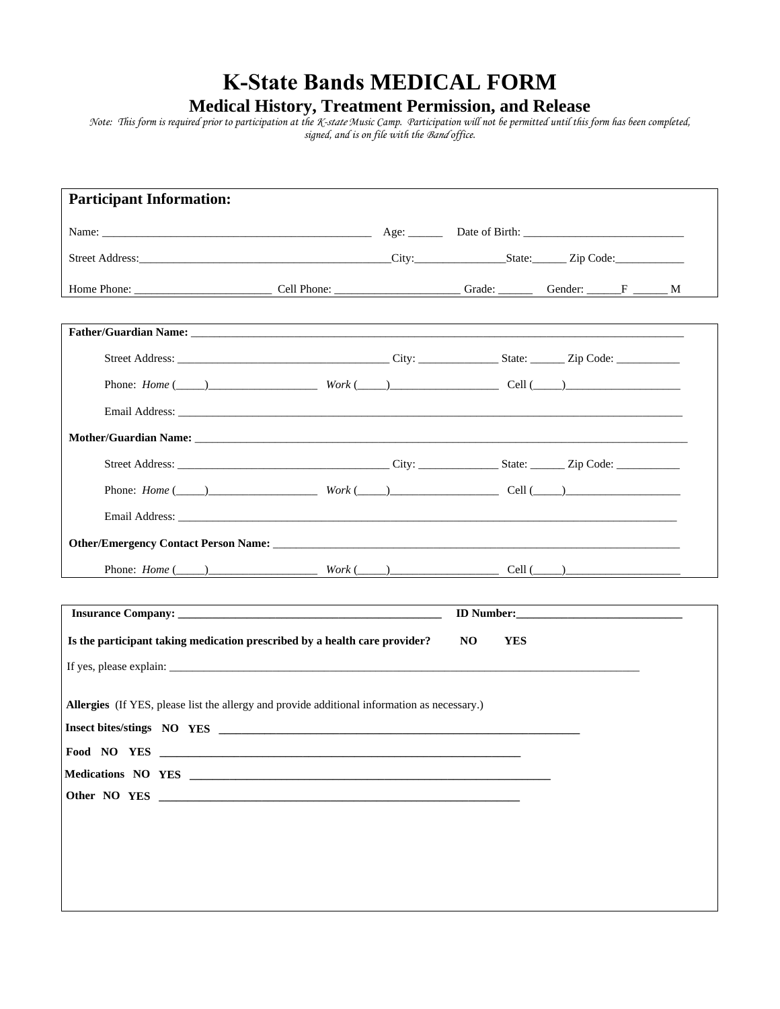## **K-State Bands MEDICAL FORM**

## **Medical History, Treatment Permission, and Release**

*Note: This form is required prior to participation at the K-state Music Camp. Participation will not be permitted until this form has been completed, signed, and is on file with the Band office.* 

| <b>Participant Information:</b> |                                                                                                                                                                                                                                |                   |  |
|---------------------------------|--------------------------------------------------------------------------------------------------------------------------------------------------------------------------------------------------------------------------------|-------------------|--|
|                                 |                                                                                                                                                                                                                                |                   |  |
|                                 |                                                                                                                                                                                                                                |                   |  |
|                                 |                                                                                                                                                                                                                                |                   |  |
|                                 |                                                                                                                                                                                                                                |                   |  |
|                                 |                                                                                                                                                                                                                                |                   |  |
|                                 |                                                                                                                                                                                                                                |                   |  |
|                                 |                                                                                                                                                                                                                                |                   |  |
|                                 |                                                                                                                                                                                                                                |                   |  |
|                                 |                                                                                                                                                                                                                                |                   |  |
|                                 |                                                                                                                                                                                                                                |                   |  |
|                                 | Email Address: University of the Contract of the Contract of the Contract of the Contract of the Contract of the Contract of the Contract of the Contract of the Contract of the Contract of the Contract of the Contract of t |                   |  |
|                                 |                                                                                                                                                                                                                                |                   |  |
|                                 | Phone: $Home (\_\_ )$ $Work (\_\_ )$ $Cell (\_\_ )$                                                                                                                                                                            |                   |  |
|                                 |                                                                                                                                                                                                                                |                   |  |
|                                 |                                                                                                                                                                                                                                |                   |  |
|                                 | Is the participant taking medication prescribed by a health care provider?                                                                                                                                                     | NO.<br><b>YES</b> |  |
|                                 |                                                                                                                                                                                                                                |                   |  |
|                                 | Allergies (If YES, please list the allergy and provide additional information as necessary.)                                                                                                                                   |                   |  |
|                                 | Insect bites/stings NO YES                                                                                                                                                                                                     |                   |  |
|                                 |                                                                                                                                                                                                                                |                   |  |
|                                 |                                                                                                                                                                                                                                |                   |  |
|                                 |                                                                                                                                                                                                                                |                   |  |
|                                 |                                                                                                                                                                                                                                |                   |  |
|                                 |                                                                                                                                                                                                                                |                   |  |
|                                 |                                                                                                                                                                                                                                |                   |  |
|                                 |                                                                                                                                                                                                                                |                   |  |